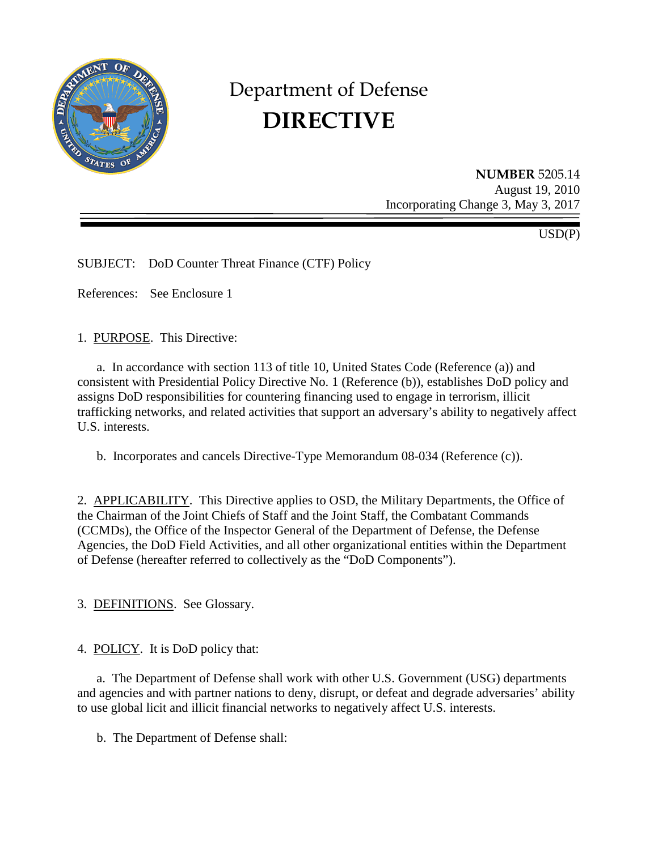

# Department of Defense **DIRECTIVE**

**NUMBER** 5205.14 August 19, 2010 Incorporating Change 3, May 3, 2017

USD(P)

SUBJECT: DoD Counter Threat Finance (CTF) Policy

References: See Enclosure 1

1. PURPOSE. This Directive:

a. In accordance with section 113 of title 10, United States Code (Reference (a)) and consistent with Presidential Policy Directive No. 1 (Reference (b)), establishes DoD policy and assigns DoD responsibilities for countering financing used to engage in terrorism, illicit trafficking networks, and related activities that support an adversary's ability to negatively affect U.S. interests.

b. Incorporates and cancels Directive-Type Memorandum 08-034 (Reference (c)).

2. APPLICABILITY. This Directive applies to OSD, the Military Departments, the Office of the Chairman of the Joint Chiefs of Staff and the Joint Staff, the Combatant Commands (CCMDs), the Office of the Inspector General of the Department of Defense, the Defense Agencies, the DoD Field Activities, and all other organizational entities within the Department of Defense (hereafter referred to collectively as the "DoD Components").

3. DEFINITIONS. See Glossary.

4. POLICY. It is DoD policy that:

a. The Department of Defense shall work with other U.S. Government (USG) departments and agencies and with partner nations to deny, disrupt, or defeat and degrade adversaries' ability to use global licit and illicit financial networks to negatively affect U.S. interests.

b. The Department of Defense shall: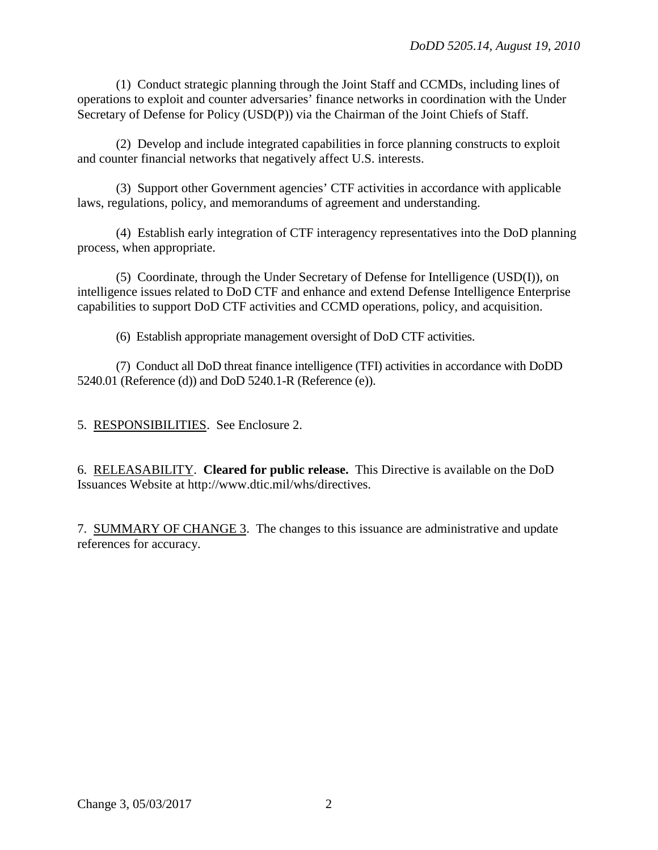(1) Conduct strategic planning through the Joint Staff and CCMDs, including lines of operations to exploit and counter adversaries' finance networks in coordination with the Under Secretary of Defense for Policy (USD(P)) via the Chairman of the Joint Chiefs of Staff.

(2) Develop and include integrated capabilities in force planning constructs to exploit and counter financial networks that negatively affect U.S. interests.

(3) Support other Government agencies' CTF activities in accordance with applicable laws, regulations, policy, and memorandums of agreement and understanding.

(4) Establish early integration of CTF interagency representatives into the DoD planning process, when appropriate.

(5) Coordinate, through the Under Secretary of Defense for Intelligence (USD(I)), on intelligence issues related to DoD CTF and enhance and extend Defense Intelligence Enterprise capabilities to support DoD CTF activities and CCMD operations, policy, and acquisition.

(6) Establish appropriate management oversight of DoD CTF activities.

(7) Conduct all DoD threat finance intelligence (TFI) activities in accordance with DoDD 5240.01 (Reference (d)) and DoD 5240.1-R (Reference (e)).

5. RESPONSIBILITIES. See Enclosure 2.

6. RELEASABILITY. **Cleared for public release.** This Directive is available on the DoD Issuances Website at http://www.dtic.mil/whs/directives.

7. SUMMARY OF CHANGE 3. The changes to this issuance are administrative and update references for accuracy.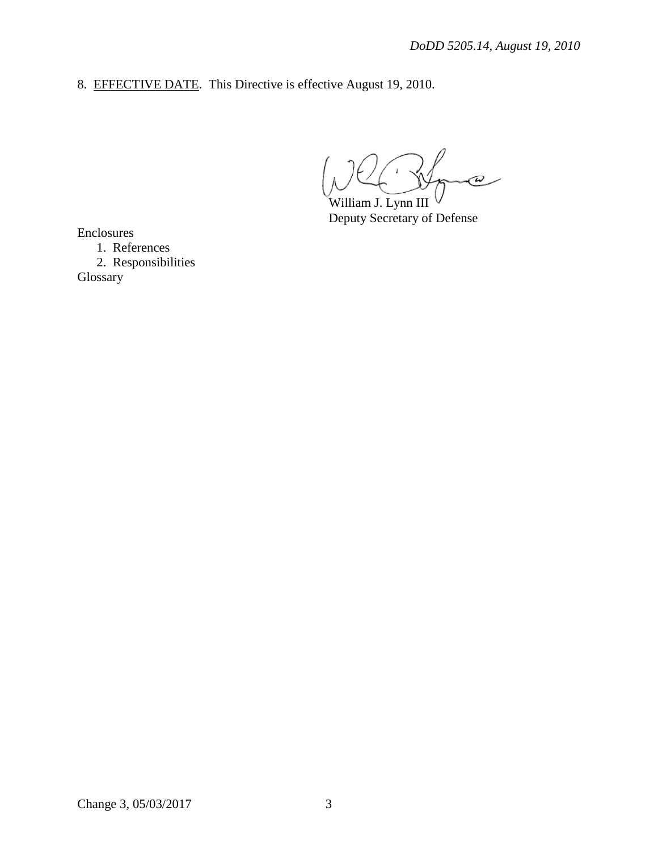8. EFFECTIVE DATE. This Directive is effective August 19, 2010.

 $\boldsymbol{\varpi}$ William J. Lynn III

Deputy Secretary of Defense

Enclosures

1. References 2. Responsibilities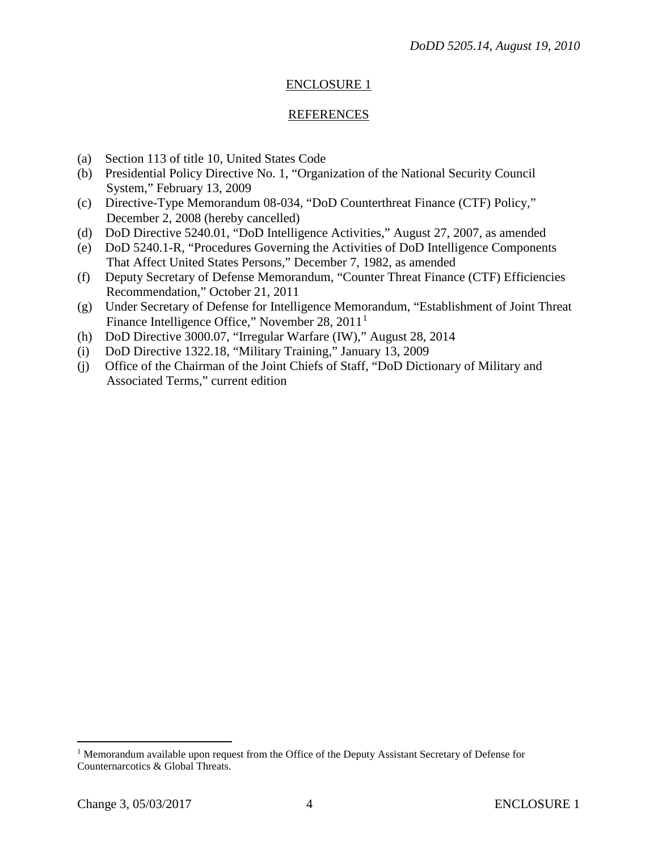#### ENCLOSURE 1

#### REFERENCES

- (a) Section 113 of title 10, United States Code
- (b) Presidential Policy Directive No. 1, "Organization of the National Security Council System," February 13, 2009
- (c) Directive-Type Memorandum 08-034, "DoD Counterthreat Finance (CTF) Policy," December 2, 2008 (hereby cancelled)
- (d) DoD Directive 5240.01, "DoD Intelligence Activities," August 27, 2007, as amended
- (e) DoD 5240.1-R, "Procedures Governing the Activities of DoD Intelligence Components That Affect United States Persons," December 7, 1982, as amended
- (f) Deputy Secretary of Defense Memorandum, "Counter Threat Finance (CTF) Efficiencies Recommendation," October 21, 2011
- (g) Under Secretary of Defense for Intelligence Memorandum, "Establishment of Joint Threat Finance Intelligence Office," November 28, 20[1](#page-3-0)1<sup>1</sup>
- (h) DoD Directive 3000.07, "Irregular Warfare (IW)," August 28, 2014
- (i) DoD Directive 1322.18, "Military Training," January 13, 2009
- (j) Office of the Chairman of the Joint Chiefs of Staff, "DoD Dictionary of Military and Associated Terms," current edition

<span id="page-3-0"></span><sup>&</sup>lt;sup>1</sup> Memorandum available upon request from the Office of the Deputy Assistant Secretary of Defense for Counternarcotics & Global Threats.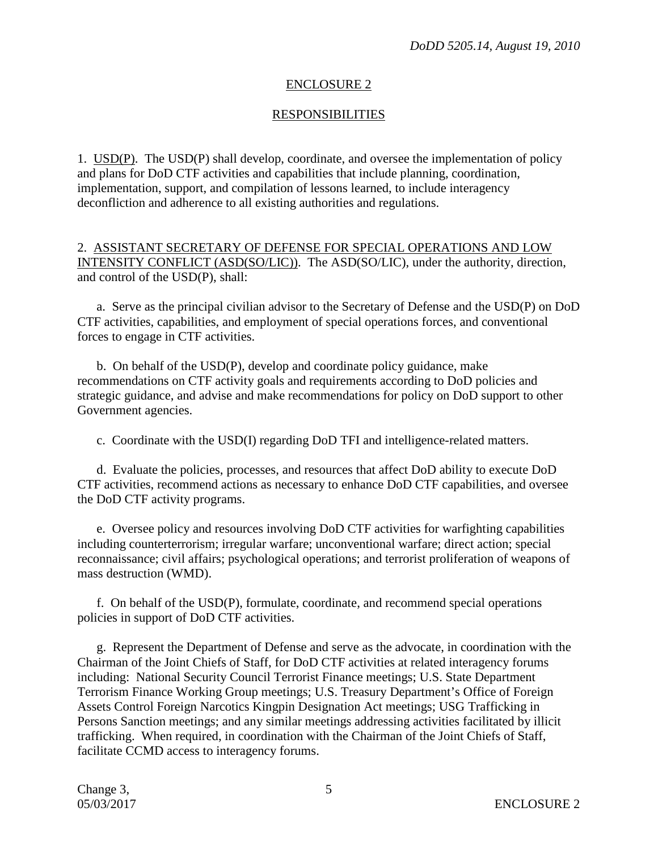## ENCLOSURE 2

### **RESPONSIBILITIES**

1. USD(P). The USD(P) shall develop, coordinate, and oversee the implementation of policy and plans for DoD CTF activities and capabilities that include planning, coordination, implementation, support, and compilation of lessons learned, to include interagency deconfliction and adherence to all existing authorities and regulations.

2. ASSISTANT SECRETARY OF DEFENSE FOR SPECIAL OPERATIONS AND LOW INTENSITY CONFLICT (ASD(SO/LIC)). The ASD(SO/LIC), under the authority, direction, and control of the USD(P), shall:

a. Serve as the principal civilian advisor to the Secretary of Defense and the USD(P) on DoD CTF activities, capabilities, and employment of special operations forces, and conventional forces to engage in CTF activities.

b. On behalf of the USD(P), develop and coordinate policy guidance, make recommendations on CTF activity goals and requirements according to DoD policies and strategic guidance, and advise and make recommendations for policy on DoD support to other Government agencies.

c. Coordinate with the USD(I) regarding DoD TFI and intelligence-related matters.

d. Evaluate the policies, processes, and resources that affect DoD ability to execute DoD CTF activities, recommend actions as necessary to enhance DoD CTF capabilities, and oversee the DoD CTF activity programs.

e. Oversee policy and resources involving DoD CTF activities for warfighting capabilities including counterterrorism; irregular warfare; unconventional warfare; direct action; special reconnaissance; civil affairs; psychological operations; and terrorist proliferation of weapons of mass destruction (WMD).

f. On behalf of the USD(P), formulate, coordinate, and recommend special operations policies in support of DoD CTF activities.

g. Represent the Department of Defense and serve as the advocate, in coordination with the Chairman of the Joint Chiefs of Staff, for DoD CTF activities at related interagency forums including: National Security Council Terrorist Finance meetings; U.S. State Department Terrorism Finance Working Group meetings; U.S. Treasury Department's Office of Foreign Assets Control Foreign Narcotics Kingpin Designation Act meetings; USG Trafficking in Persons Sanction meetings; and any similar meetings addressing activities facilitated by illicit trafficking. When required, in coordination with the Chairman of the Joint Chiefs of Staff, facilitate CCMD access to interagency forums.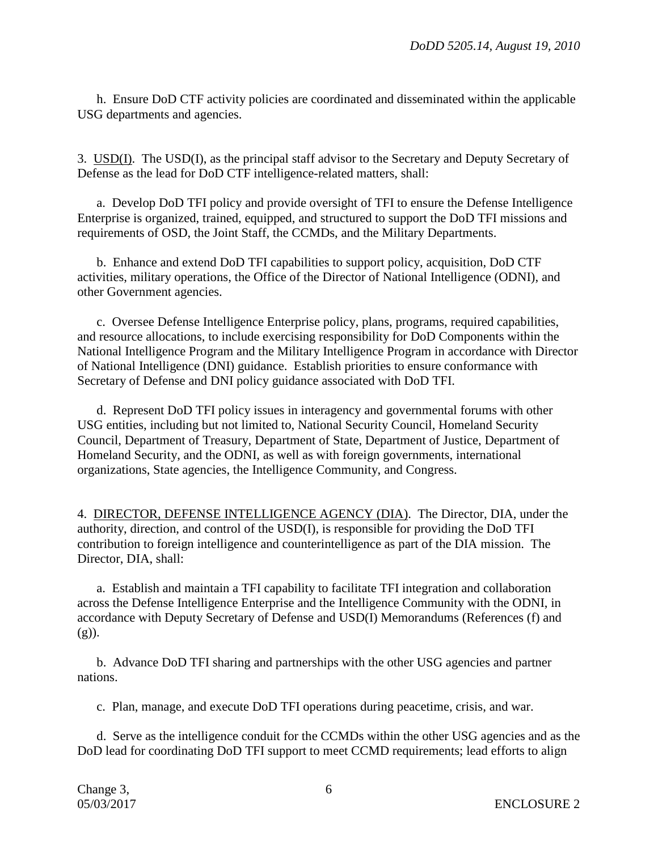h. Ensure DoD CTF activity policies are coordinated and disseminated within the applicable USG departments and agencies.

3. USD(I). The USD(I), as the principal staff advisor to the Secretary and Deputy Secretary of Defense as the lead for DoD CTF intelligence-related matters, shall:

a. Develop DoD TFI policy and provide oversight of TFI to ensure the Defense Intelligence Enterprise is organized, trained, equipped, and structured to support the DoD TFI missions and requirements of OSD, the Joint Staff, the CCMDs, and the Military Departments.

b. Enhance and extend DoD TFI capabilities to support policy, acquisition, DoD CTF activities, military operations, the Office of the Director of National Intelligence (ODNI), and other Government agencies.

c. Oversee Defense Intelligence Enterprise policy, plans, programs, required capabilities, and resource allocations, to include exercising responsibility for DoD Components within the National Intelligence Program and the Military Intelligence Program in accordance with Director of National Intelligence (DNI) guidance. Establish priorities to ensure conformance with Secretary of Defense and DNI policy guidance associated with DoD TFI.

d. Represent DoD TFI policy issues in interagency and governmental forums with other USG entities, including but not limited to, National Security Council, Homeland Security Council, Department of Treasury, Department of State, Department of Justice, Department of Homeland Security, and the ODNI, as well as with foreign governments, international organizations, State agencies, the Intelligence Community, and Congress.

4. DIRECTOR, DEFENSE INTELLIGENCE AGENCY (DIA). The Director, DIA, under the authority, direction, and control of the USD(I), is responsible for providing the DoD TFI contribution to foreign intelligence and counterintelligence as part of the DIA mission. The Director, DIA, shall:

a. Establish and maintain a TFI capability to facilitate TFI integration and collaboration across the Defense Intelligence Enterprise and the Intelligence Community with the ODNI, in accordance with Deputy Secretary of Defense and USD(I) Memorandums (References (f) and  $(g)$ ).

b. Advance DoD TFI sharing and partnerships with the other USG agencies and partner nations.

c. Plan, manage, and execute DoD TFI operations during peacetime, crisis, and war.

d. Serve as the intelligence conduit for the CCMDs within the other USG agencies and as the DoD lead for coordinating DoD TFI support to meet CCMD requirements; lead efforts to align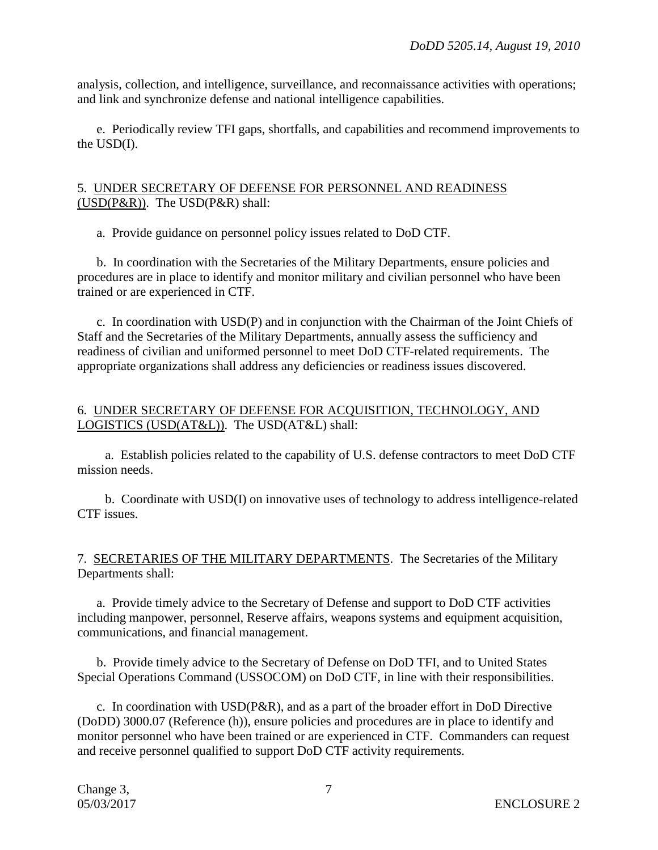analysis, collection, and intelligence, surveillance, and reconnaissance activities with operations; and link and synchronize defense and national intelligence capabilities.

e. Periodically review TFI gaps, shortfalls, and capabilities and recommend improvements to the USD(I).

#### 5. UNDER SECRETARY OF DEFENSE FOR PERSONNEL AND READINESS (USD(P&R)). The USD(P&R) shall:

a. Provide guidance on personnel policy issues related to DoD CTF.

b. In coordination with the Secretaries of the Military Departments, ensure policies and procedures are in place to identify and monitor military and civilian personnel who have been trained or are experienced in CTF.

c. In coordination with USD(P) and in conjunction with the Chairman of the Joint Chiefs of Staff and the Secretaries of the Military Departments, annually assess the sufficiency and readiness of civilian and uniformed personnel to meet DoD CTF-related requirements. The appropriate organizations shall address any deficiencies or readiness issues discovered.

#### 6. UNDER SECRETARY OF DEFENSE FOR ACQUISITION, TECHNOLOGY, AND LOGISTICS (USD(AT&L)). The USD(AT&L) shall:

a. Establish policies related to the capability of U.S. defense contractors to meet DoD CTF mission needs.

b. Coordinate with USD(I) on innovative uses of technology to address intelligence-related CTF issues.

#### 7. SECRETARIES OF THE MILITARY DEPARTMENTS. The Secretaries of the Military Departments shall:

a. Provide timely advice to the Secretary of Defense and support to DoD CTF activities including manpower, personnel, Reserve affairs, weapons systems and equipment acquisition, communications, and financial management.

b. Provide timely advice to the Secretary of Defense on DoD TFI, and to United States Special Operations Command (USSOCOM) on DoD CTF, in line with their responsibilities.

c. In coordination with USD(P&R), and as a part of the broader effort in DoD Directive (DoDD) 3000.07 (Reference (h)), ensure policies and procedures are in place to identify and monitor personnel who have been trained or are experienced in CTF. Commanders can request and receive personnel qualified to support DoD CTF activity requirements.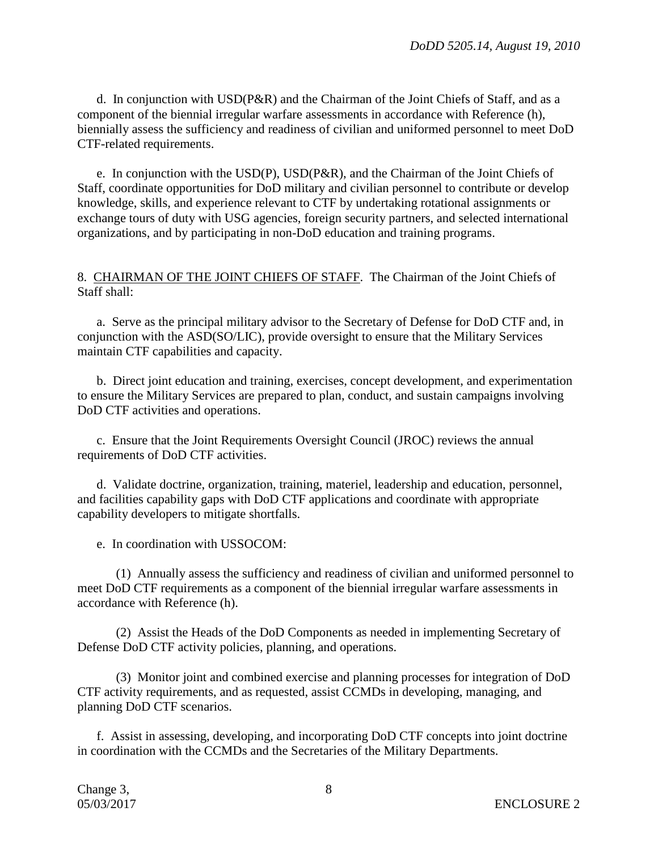d. In conjunction with USD(P&R) and the Chairman of the Joint Chiefs of Staff, and as a component of the biennial irregular warfare assessments in accordance with Reference (h), biennially assess the sufficiency and readiness of civilian and uniformed personnel to meet DoD CTF-related requirements.

e. In conjunction with the USD(P), USD(P&R), and the Chairman of the Joint Chiefs of Staff, coordinate opportunities for DoD military and civilian personnel to contribute or develop knowledge, skills, and experience relevant to CTF by undertaking rotational assignments or exchange tours of duty with USG agencies, foreign security partners, and selected international organizations, and by participating in non-DoD education and training programs.

8. CHAIRMAN OF THE JOINT CHIEFS OF STAFF. The Chairman of the Joint Chiefs of Staff shall:

a. Serve as the principal military advisor to the Secretary of Defense for DoD CTF and, in conjunction with the ASD(SO/LIC), provide oversight to ensure that the Military Services maintain CTF capabilities and capacity.

b. Direct joint education and training, exercises, concept development, and experimentation to ensure the Military Services are prepared to plan, conduct, and sustain campaigns involving DoD CTF activities and operations.

c. Ensure that the Joint Requirements Oversight Council (JROC) reviews the annual requirements of DoD CTF activities.

d. Validate doctrine, organization, training, materiel, leadership and education, personnel, and facilities capability gaps with DoD CTF applications and coordinate with appropriate capability developers to mitigate shortfalls.

e. In coordination with USSOCOM:

(1) Annually assess the sufficiency and readiness of civilian and uniformed personnel to meet DoD CTF requirements as a component of the biennial irregular warfare assessments in accordance with Reference (h).

(2) Assist the Heads of the DoD Components as needed in implementing Secretary of Defense DoD CTF activity policies, planning, and operations.

(3) Monitor joint and combined exercise and planning processes for integration of DoD CTF activity requirements, and as requested, assist CCMDs in developing, managing, and planning DoD CTF scenarios.

f. Assist in assessing, developing, and incorporating DoD CTF concepts into joint doctrine in coordination with the CCMDs and the Secretaries of the Military Departments.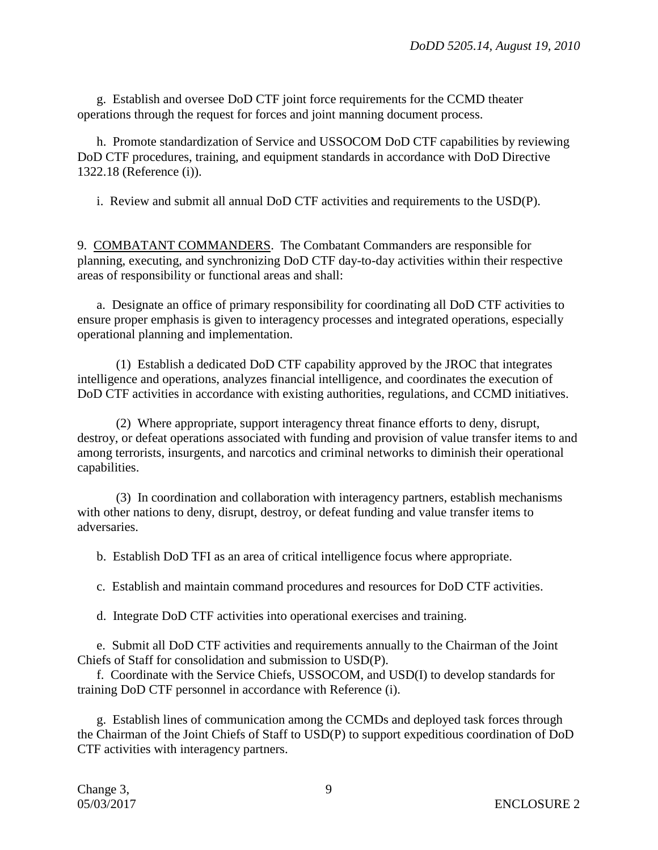g. Establish and oversee DoD CTF joint force requirements for the CCMD theater operations through the request for forces and joint manning document process.

h. Promote standardization of Service and USSOCOM DoD CTF capabilities by reviewing DoD CTF procedures, training, and equipment standards in accordance with DoD Directive 1322.18 (Reference (i)).

i. Review and submit all annual DoD CTF activities and requirements to the USD(P).

9. COMBATANT COMMANDERS. The Combatant Commanders are responsible for planning, executing, and synchronizing DoD CTF day-to-day activities within their respective areas of responsibility or functional areas and shall:

a. Designate an office of primary responsibility for coordinating all DoD CTF activities to ensure proper emphasis is given to interagency processes and integrated operations, especially operational planning and implementation.

(1) Establish a dedicated DoD CTF capability approved by the JROC that integrates intelligence and operations, analyzes financial intelligence, and coordinates the execution of DoD CTF activities in accordance with existing authorities, regulations, and CCMD initiatives.

(2) Where appropriate, support interagency threat finance efforts to deny, disrupt, destroy, or defeat operations associated with funding and provision of value transfer items to and among terrorists, insurgents, and narcotics and criminal networks to diminish their operational capabilities.

(3) In coordination and collaboration with interagency partners, establish mechanisms with other nations to deny, disrupt, destroy, or defeat funding and value transfer items to adversaries.

b. Establish DoD TFI as an area of critical intelligence focus where appropriate.

c. Establish and maintain command procedures and resources for DoD CTF activities.

d. Integrate DoD CTF activities into operational exercises and training.

e. Submit all DoD CTF activities and requirements annually to the Chairman of the Joint Chiefs of Staff for consolidation and submission to USD(P).

f. Coordinate with the Service Chiefs, USSOCOM, and USD(I) to develop standards for training DoD CTF personnel in accordance with Reference (i).

g. Establish lines of communication among the CCMDs and deployed task forces through the Chairman of the Joint Chiefs of Staff to USD(P) to support expeditious coordination of DoD CTF activities with interagency partners.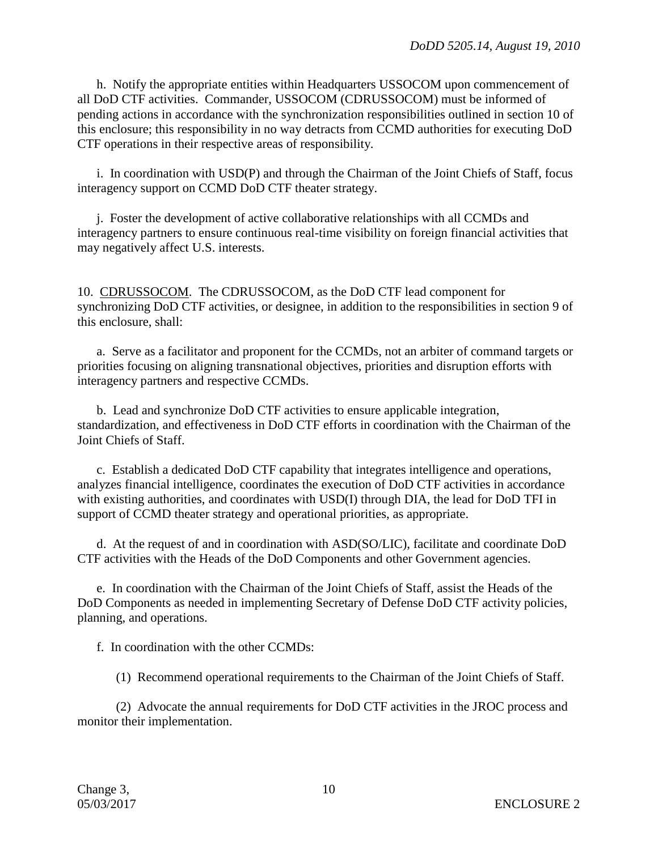h. Notify the appropriate entities within Headquarters USSOCOM upon commencement of all DoD CTF activities. Commander, USSOCOM (CDRUSSOCOM) must be informed of pending actions in accordance with the synchronization responsibilities outlined in section 10 of this enclosure; this responsibility in no way detracts from CCMD authorities for executing DoD CTF operations in their respective areas of responsibility.

i. In coordination with USD(P) and through the Chairman of the Joint Chiefs of Staff, focus interagency support on CCMD DoD CTF theater strategy.

j. Foster the development of active collaborative relationships with all CCMDs and interagency partners to ensure continuous real-time visibility on foreign financial activities that may negatively affect U.S. interests.

10. CDRUSSOCOM. The CDRUSSOCOM, as the DoD CTF lead component for synchronizing DoD CTF activities, or designee, in addition to the responsibilities in section 9 of this enclosure, shall:

a. Serve as a facilitator and proponent for the CCMDs, not an arbiter of command targets or priorities focusing on aligning transnational objectives, priorities and disruption efforts with interagency partners and respective CCMDs.

b. Lead and synchronize DoD CTF activities to ensure applicable integration, standardization, and effectiveness in DoD CTF efforts in coordination with the Chairman of the Joint Chiefs of Staff.

c. Establish a dedicated DoD CTF capability that integrates intelligence and operations, analyzes financial intelligence, coordinates the execution of DoD CTF activities in accordance with existing authorities, and coordinates with USD(I) through DIA, the lead for DoD TFI in support of CCMD theater strategy and operational priorities, as appropriate.

d. At the request of and in coordination with ASD(SO/LIC), facilitate and coordinate DoD CTF activities with the Heads of the DoD Components and other Government agencies.

e. In coordination with the Chairman of the Joint Chiefs of Staff, assist the Heads of the DoD Components as needed in implementing Secretary of Defense DoD CTF activity policies, planning, and operations.

f. In coordination with the other CCMDs:

(1) Recommend operational requirements to the Chairman of the Joint Chiefs of Staff.

(2) Advocate the annual requirements for DoD CTF activities in the JROC process and monitor their implementation.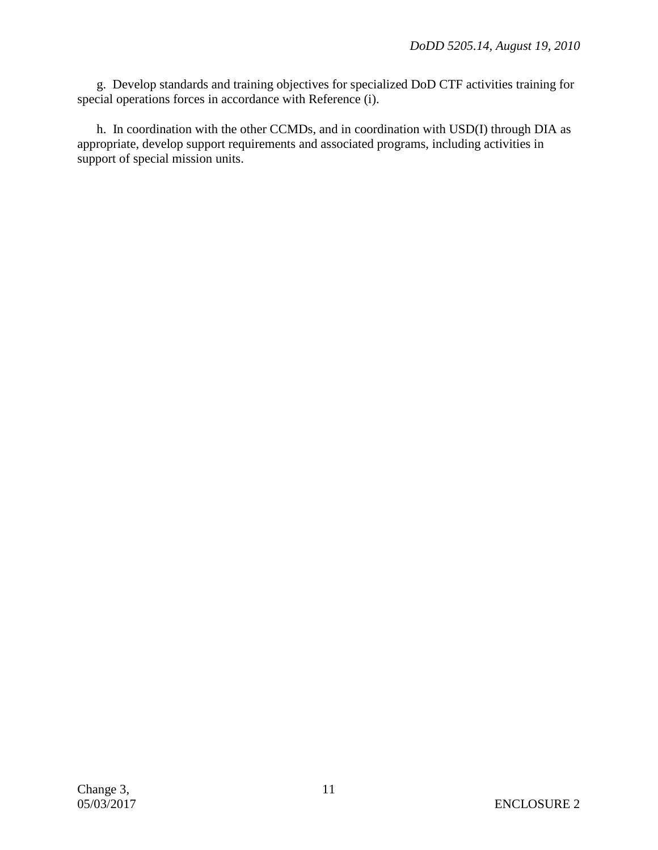g. Develop standards and training objectives for specialized DoD CTF activities training for special operations forces in accordance with Reference (i).

h. In coordination with the other CCMDs, and in coordination with USD(I) through DIA as appropriate, develop support requirements and associated programs, including activities in support of special mission units.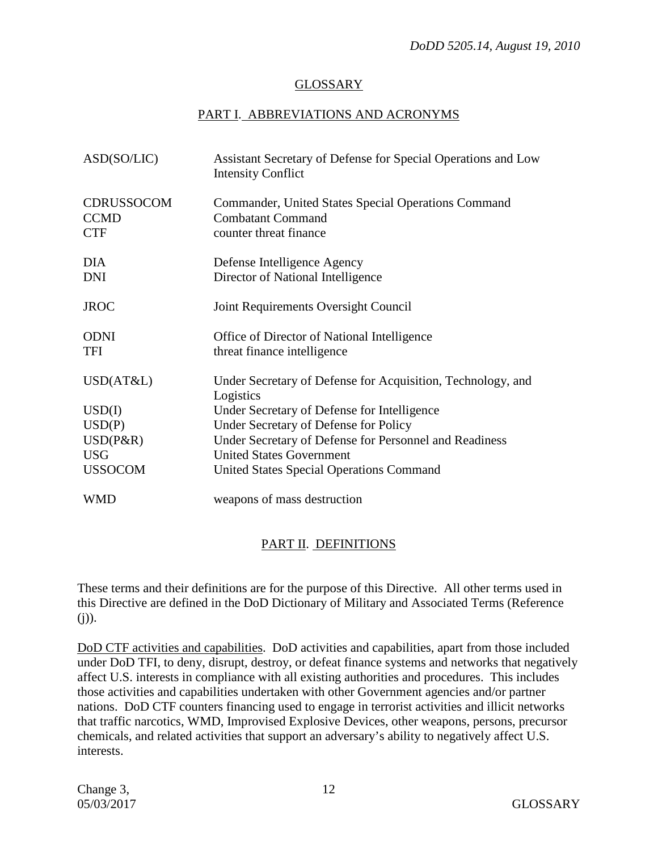## GLOSSARY

# PART I. ABBREVIATIONS AND ACRONYMS

| ASD(SO/LIC)                                    | Assistant Secretary of Defense for Special Operations and Low<br><b>Intensity Conflict</b>                |
|------------------------------------------------|-----------------------------------------------------------------------------------------------------------|
| <b>CDRUSSOCOM</b><br><b>CCMD</b><br><b>CTF</b> | Commander, United States Special Operations Command<br><b>Combatant Command</b><br>counter threat finance |
| <b>DIA</b><br><b>DNI</b>                       | Defense Intelligence Agency<br>Director of National Intelligence                                          |
| <b>JROC</b>                                    | Joint Requirements Oversight Council                                                                      |
| <b>ODNI</b><br><b>TFI</b>                      | Office of Director of National Intelligence<br>threat finance intelligence                                |
| USD(AT&L)                                      | Under Secretary of Defense for Acquisition, Technology, and<br>Logistics                                  |
| USD(I)                                         | Under Secretary of Defense for Intelligence                                                               |
| USD(P)                                         | Under Secretary of Defense for Policy                                                                     |
| USD(P&R)                                       | Under Secretary of Defense for Personnel and Readiness                                                    |
| <b>USG</b>                                     | <b>United States Government</b>                                                                           |
| <b>USSOCOM</b>                                 | United States Special Operations Command                                                                  |
| WMD                                            | weapons of mass destruction                                                                               |

# PART II. DEFINITIONS

These terms and their definitions are for the purpose of this Directive. All other terms used in this Directive are defined in the DoD Dictionary of Military and Associated Terms (Reference  $(i)$ ).

DoD CTF activities and capabilities. DoD activities and capabilities, apart from those included under DoD TFI, to deny, disrupt, destroy, or defeat finance systems and networks that negatively affect U.S. interests in compliance with all existing authorities and procedures. This includes those activities and capabilities undertaken with other Government agencies and/or partner nations. DoD CTF counters financing used to engage in terrorist activities and illicit networks that traffic narcotics, WMD, Improvised Explosive Devices, other weapons, persons, precursor chemicals, and related activities that support an adversary's ability to negatively affect U.S. interests.